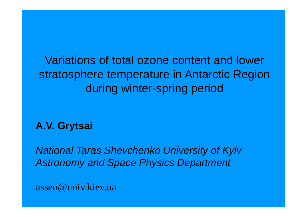Variations of total ozone content and lower lower stratosphere temperature in Antarctic Region during winte r-spring period

**A.V. Grytsai**

*National Taras Shevchenko University of Kyiv Astronomy and Space Physics Department*

assen@univ.kiev.ua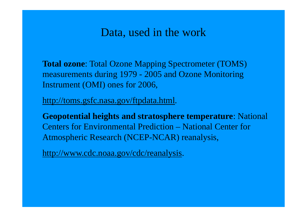#### Data, used in the work

**Total ozone**: Total Ozone Mapping Spectrometer (TOMS) measurements during 1979 - 2005 and Ozone Monitoring Instrument (OMI) ones for 2006,

http://toms.gsfc.nasa.gov/ftpdata.html.

**Geopotential heights and stratosphere temperature**: National Centers for Environmental Prediction – National Center for Atmospheric Research (NCEP-NCAR) reanalysis,

<u>http://www.cdc.noaa.gov/cdc/reanalysis</u>.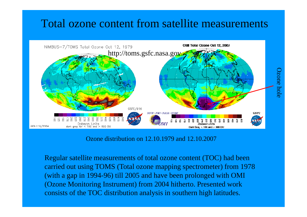### Total ozone content from satellite measurements



Ozone distribution on 12.10.1979 and 12.10.2007

Regular satellite measurements of total ozone content (TOC) had been carried out using TOMS (Total ozone mapping spectrometer) from 1978 (with a gap in 1994-96) till 2005 and have been prolonged with OMI (Ozone Monitoring Instrument) from 2004 hitherto. Presented work consists of the TOC distribution analysis in southern high latitudes.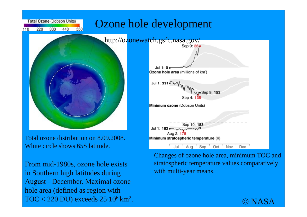

Total ozone distribution on 8.09.2008. White circle shows 65S latitude.

From mid-1980s, ozone hole exists in Southern high latitudes during August - December. Maximal ozone hole area (defined as region with  $\rm TOC < 220$  DU) exceeds  $\rm 25{\cdot}10^6\,km^2$ .

Changes of ozone hole area, minimum TOC and stratospheric temperature values comparatively with multi-year means.

Oct

Nov

Dec.

Sep

Jul.

Aua

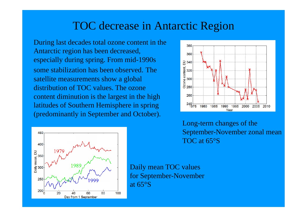### TOC decrease in Antarctic Region

During last decades total ozone content in the Antarctic region has been decreased, especially during spring. From mid-1990s some stabilization has been observed. The satellite measurements show a global distribution of TOC values. The ozone content diminution is the largest in the high latitudes of Southern Hemisphere in spring (predominantly in September and October).



Long-term changes of the September-November zonal mean TOC at 65°S



Daily mean TOC values for September-November at 65°S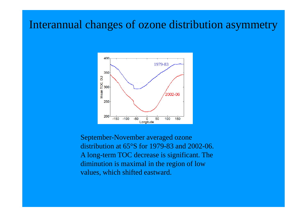#### Interannual changes of ozone distribution asymmetry



September-November averaged ozone distribution at 65°S for 1979-83 and 2002-06. A lon g-term TOC decrease is si gnificant. The diminution is maximal in the region of low values, which shifted eastward.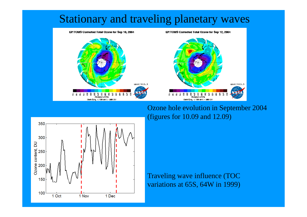

Ozone hole evolution in September 2004 (figures for 10.09 and 12.09)



Traveling wave influence (TOC variations at 65S, 64W in 1999)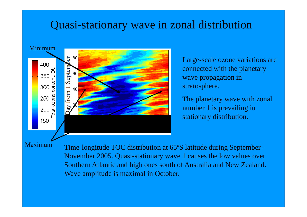### Quasi-stationary wave in zonal distribution



Large-scale ozone variations are connected with the planetary wave propagation in stratosp here.

The planetary wave with zonal number 1 is prevailing in stationary distribution.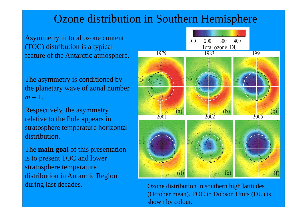## Ozone distribution in Southern Hemisphere

Asymmetry in total ozone content (TOC) distribution is a typical feature of the Antarctic atmos phere.

The asymmetry is conditioned by the planetary wave of zonal number *m* = 1.

Respectively, the asymmetry relative to the Pole appears in stratosphere temperature horizontal distribution.

The **main goal** of this presentation is to present TOC and lower stratosphere temperature distribution in Antarctic Region during last decades.



 Ozone distribution in southern high latitudes (October mean). TOC in Dobson Units (DU) is shown by colour.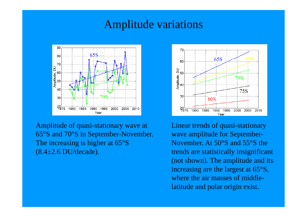#### Amplitude variations



Amplitude of quasi-stationary wave at  $65^{\circ}$ S and  $70^{\circ}$ S in September-Novemb  $\rm ^{\circ}S$  and  $70\rm ^{\circ}S$  in September-Novem The increasing is higher at 65°S (8.4±2.6 DU/decade).



Linear trends of quasi-stationary ber. Wave amplitude for September-November. At 50°S and 55°S the trends are statistically insignificant (not shown). The amplitude and its increasing are the largest at 65°S, where the air masses of middlelatitude and polar origin exist.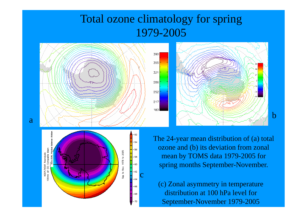## Total ozone climatology for spring 1979 -2005

390

355

321

286

252

217

183





The 24-year mean distribution of (a) total ozone and (b) its deviation from zonal mean by TOMS data 1979-2005 for spring months September-November.

b

(c) Zonal asymmetry in temperature distribution at 100 hPa level for September-November 1979-2005

a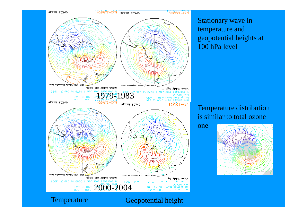Stationary wave in temperature and geopotential heights at 100 hPa level



one



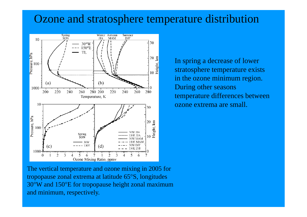### Ozone and stratosphere temperature distribution



In spring a decrease of lower stratosphere temperature exists in the ozone minimum region. During other seasons temperature differences between ozone extrema are small.

The vertical temperature and ozone mixing in 2005 for tropopause zonal extrema at latitude 65 °S, longitudes 30°W and 150°E for tropopause height zonal maximum and minimum, respectively.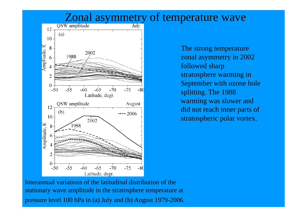



The strong temperature zonal asymmetry in 2002 followed sharp stratosphere warming in September with ozone hole splitting. The 1988 warming was slower and did not reach inner parts of stratospheric polar vortex.

Interannual variations of the latitudinal distribution of the stationary wave amplitude in the stratosphere temperature at pressure level 100 hPa in (a) July and (b) August 1979-2006.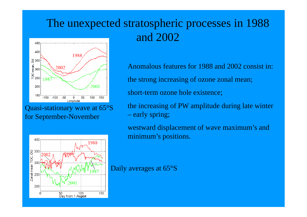# The unexpected stratospheric processes in 1988 an d 2002



Quasi-stationary wave at  $65^{\circ}$ S the increasin i-stationary wave at 65°S for September-November



Anomalous features for 1988 and 2002 consist in: the strong increasing of ozone zonal mean; short-term ozone hole existence;

 $S$  the increasing of PW amplitude during late winter early spring;

> westward displacement of wave maximum's and minimum's positions.

Daily averages at 65°S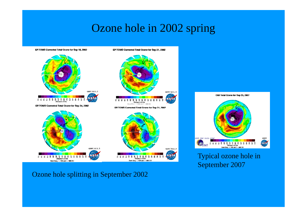## Ozone hole in 2002 spring

EP/TOMS Corrected Total Ozone for Sep 18, 2002

EP/TOMS Corrected Total Ozone for Sep 21, 2002



Ozone hole splitting in September 2002



Typical ozone hole in September 2007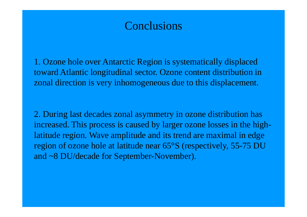### **Conclusions**

1. Ozone hole over Antarctic Region is systematically displaced toward Atlantic longitudinal sector. Ozone content distribution in zonal direction is very inhomogeneous due to this displacement.

2. During last decades zonal asymmetry in ozone distribution has increased. This process is caused by larger ozone losses in the highlatitude region. Wave amplitude and its trend are maximal in edge region of ozone hole at latitude near 65°S (respectively, 55-75 DU and  ${\sim}8$  DU/decade for September-November).